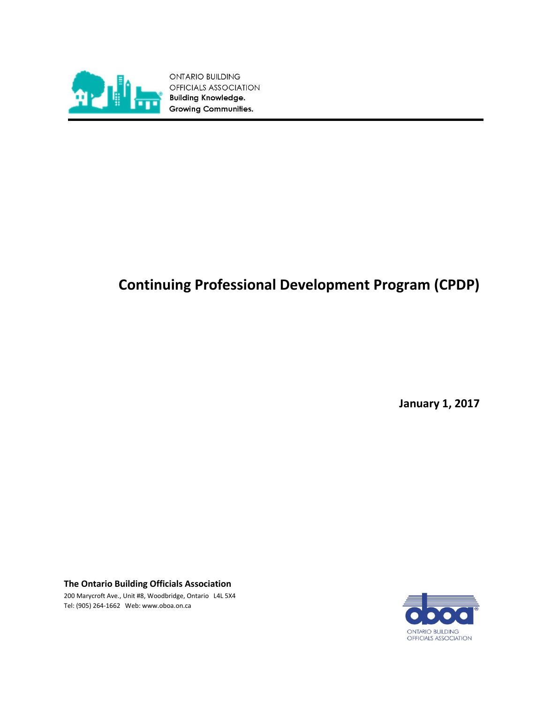

ONTARIO BUILDING OFFICIALS ASSOCIATION **Building Knowledge. Growing Communities.** 

# **Continuing Professional Development Program (CPDP)**

**January 1, 2017**

**The Ontario Building Officials Association** 

200 Marycroft Ave., Unit #8, Woodbridge, Ontario L4L 5X4 Tel: (905) 264-1662 Web[: www.oboa.on.ca](http://www.oboa.on.ca/)

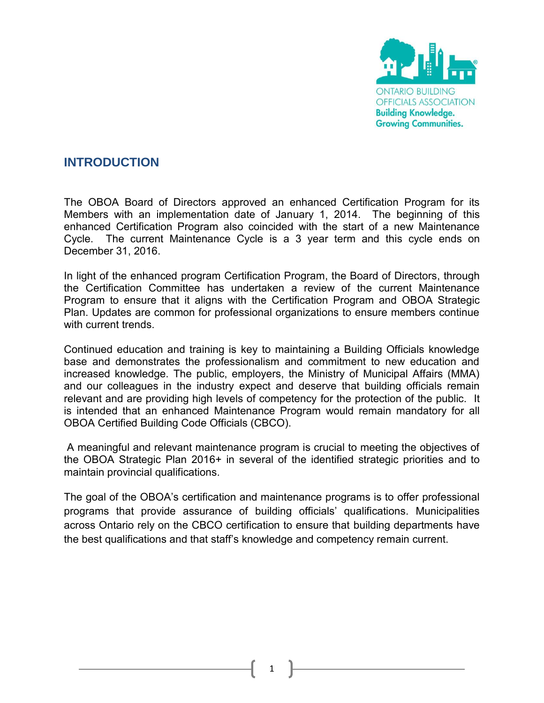

# **INTRODUCTION**

The OBOA Board of Directors approved an enhanced Certification Program for its Members with an implementation date of January 1, 2014. The beginning of this enhanced Certification Program also coincided with the start of a new Maintenance Cycle. The current Maintenance Cycle is a 3 year term and this cycle ends on December 31, 2016.

In light of the enhanced program Certification Program, the Board of Directors, through the Certification Committee has undertaken a review of the current Maintenance Program to ensure that it aligns with the Certification Program and OBOA Strategic Plan. Updates are common for professional organizations to ensure members continue with current trends.

Continued education and training is key to maintaining a Building Officials knowledge base and demonstrates the professionalism and commitment to new education and increased knowledge. The public, employers, the Ministry of Municipal Affairs (MMA) and our colleagues in the industry expect and deserve that building officials remain relevant and are providing high levels of competency for the protection of the public. It is intended that an enhanced Maintenance Program would remain mandatory for all OBOA Certified Building Code Officials (CBCO).

A meaningful and relevant maintenance program is crucial to meeting the objectives of the OBOA Strategic Plan 2016+ in several of the identified strategic priorities and to maintain provincial qualifications.

The goal of the OBOA's certification and maintenance programs is to offer professional programs that provide assurance of building officials' qualifications. Municipalities across Ontario rely on the CBCO certification to ensure that building departments have the best qualifications and that staff's knowledge and competency remain current.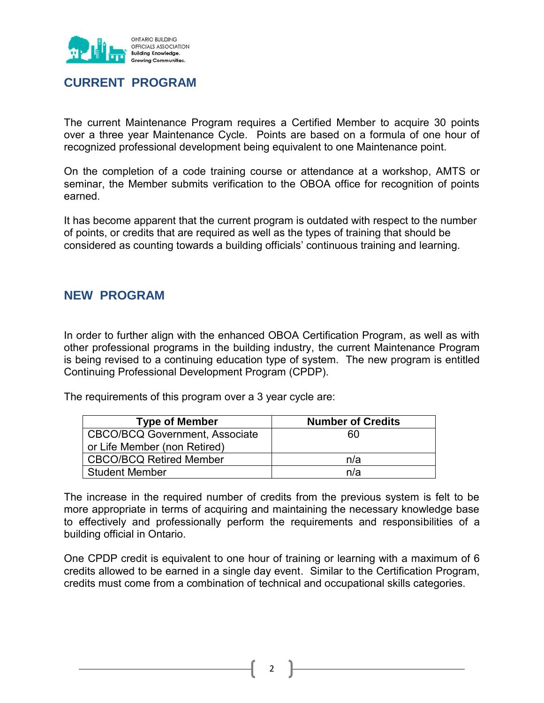

## **CURRENT PROGRAM**

The current Maintenance Program requires a Certified Member to acquire 30 points over a three year Maintenance Cycle. Points are based on a formula of one hour of recognized professional development being equivalent to one Maintenance point.

On the completion of a code training course or attendance at a workshop, AMTS or seminar, the Member submits verification to the OBOA office for recognition of points earned.

It has become apparent that the current program is outdated with respect to the number of points, or credits that are required as well as the types of training that should be considered as counting towards a building officials' continuous training and learning.

## **NEW PROGRAM**

In order to further align with the enhanced OBOA Certification Program, as well as with other professional programs in the building industry, the current Maintenance Program is being revised to a continuing education type of system. The new program is entitled Continuing Professional Development Program (CPDP).

The requirements of this program over a 3 year cycle are:

| <b>Type of Member</b>                 | <b>Number of Credits</b> |
|---------------------------------------|--------------------------|
| <b>CBCO/BCQ Government, Associate</b> | 60                       |
| or Life Member (non Retired)          |                          |
| <b>CBCO/BCQ Retired Member</b>        | n/a                      |
| <b>Student Member</b>                 | n/a                      |

The increase in the required number of credits from the previous system is felt to be more appropriate in terms of acquiring and maintaining the necessary knowledge base to effectively and professionally perform the requirements and responsibilities of a building official in Ontario.

One CPDP credit is equivalent to one hour of training or learning with a maximum of 6 credits allowed to be earned in a single day event. Similar to the Certification Program, credits must come from a combination of technical and occupational skills categories.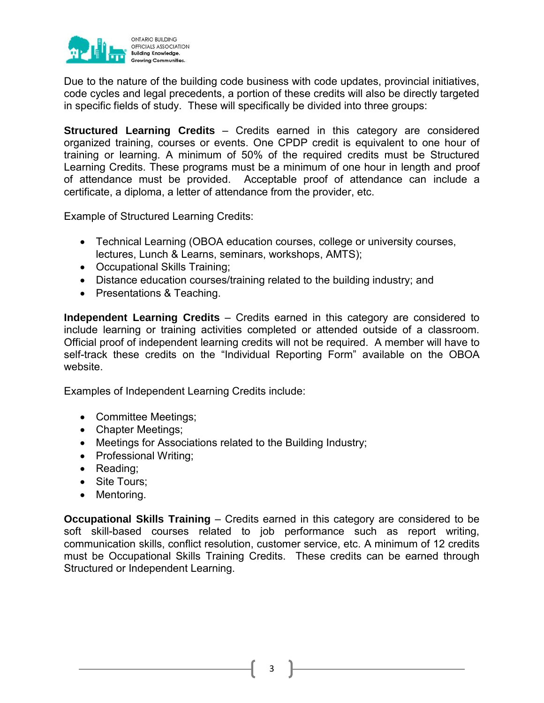

Due to the nature of the building code business with code updates, provincial initiatives, code cycles and legal precedents, a portion of these credits will also be directly targeted in specific fields of study. These will specifically be divided into three groups:

**Structured Learning Credits** – Credits earned in this category are considered organized training, courses or events. One CPDP credit is equivalent to one hour of training or learning. A minimum of 50% of the required credits must be Structured Learning Credits. These programs must be a minimum of one hour in length and proof of attendance must be provided. Acceptable proof of attendance can include a certificate, a diploma, a letter of attendance from the provider, etc.

Example of Structured Learning Credits:

- Technical Learning (OBOA education courses, college or university courses, lectures, Lunch & Learns, seminars, workshops, AMTS);
- Occupational Skills Training;
- Distance education courses/training related to the building industry; and
- Presentations & Teaching.

**Independent Learning Credits** – Credits earned in this category are considered to include learning or training activities completed or attended outside of a classroom. Official proof of independent learning credits will not be required. A member will have to self-track these credits on the "Individual Reporting Form" available on the OBOA website.

Examples of Independent Learning Credits include:

- Committee Meetings;
- Chapter Meetings;
- Meetings for Associations related to the Building Industry;
- Professional Writing;
- Reading;
- Site Tours;
- Mentoring.

**Occupational Skills Training** – Credits earned in this category are considered to be soft skill-based courses related to job performance such as report writing, communication skills, conflict resolution, customer service, etc. A minimum of 12 credits must be Occupational Skills Training Credits. These credits can be earned through Structured or Independent Learning.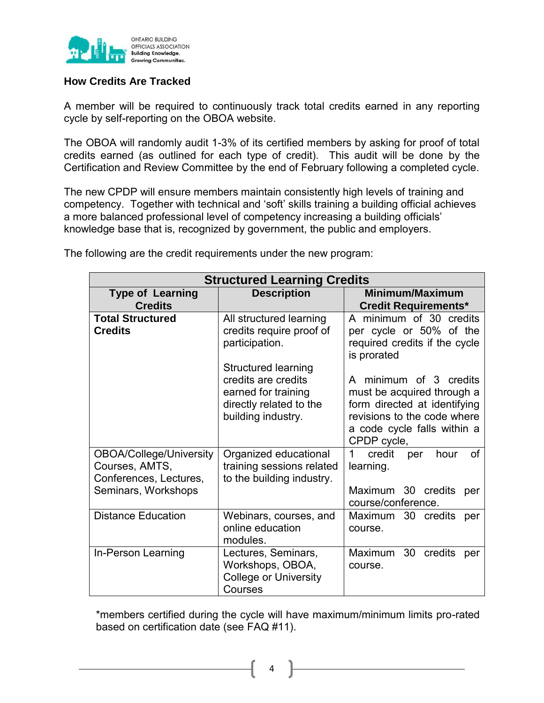

#### **How Credits Are Tracked**

A member will be required to continuously track total credits earned in any reporting cycle by self-reporting on the OBOA website.

The OBOA will randomly audit 1-3% of its certified members by asking for proof of total credits earned (as outlined for each type of credit). This audit will be done by the Certification and Review Committee by the end of February following a completed cycle.

The new CPDP will ensure members maintain consistently high levels of training and competency. Together with technical and 'soft' skills training a building official achieves a more balanced professional level of competency increasing a building officials' knowledge base that is, recognized by government, the public and employers.

| <b>Structured Learning Credits</b>                                                         |                                                                                                                                                                                                    |                                                                                                                                                                                                                                                                         |
|--------------------------------------------------------------------------------------------|----------------------------------------------------------------------------------------------------------------------------------------------------------------------------------------------------|-------------------------------------------------------------------------------------------------------------------------------------------------------------------------------------------------------------------------------------------------------------------------|
| <b>Type of Learning</b><br><b>Credits</b>                                                  | <b>Description</b>                                                                                                                                                                                 | Minimum/Maximum<br><b>Credit Requirements*</b>                                                                                                                                                                                                                          |
| <b>Total Structured</b><br><b>Credits</b>                                                  | All structured learning<br>credits require proof of<br>participation.<br><b>Structured learning</b><br>credits are credits<br>earned for training<br>directly related to the<br>building industry. | A minimum of 30 credits<br>per cycle or 50% of the<br>required credits if the cycle<br>is prorated<br>A minimum of 3 credits<br>must be acquired through a<br>form directed at identifying<br>revisions to the code where<br>a code cycle falls within a<br>CPDP cycle, |
| OBOA/College/University<br>Courses, AMTS,<br>Conferences, Lectures,<br>Seminars, Workshops | Organized educational<br>training sessions related<br>to the building industry.                                                                                                                    | $\mathbf 1$<br>credit<br>hour<br>οf<br>per<br>learning.<br>Maximum 30 credits<br>per<br>course/conference.                                                                                                                                                              |
| <b>Distance Education</b>                                                                  | Webinars, courses, and<br>online education<br>modules.                                                                                                                                             | Maximum 30 credits<br>per<br>course.                                                                                                                                                                                                                                    |
| In-Person Learning                                                                         | Lectures, Seminars,<br>Workshops, OBOA,<br><b>College or University</b><br>Courses                                                                                                                 | 30 credits<br>Maximum<br>per<br>course.                                                                                                                                                                                                                                 |

The following are the credit requirements under the new program:

\*members certified during the cycle will have maximum/minimum limits pro-rated based on certification date (see FAQ #11).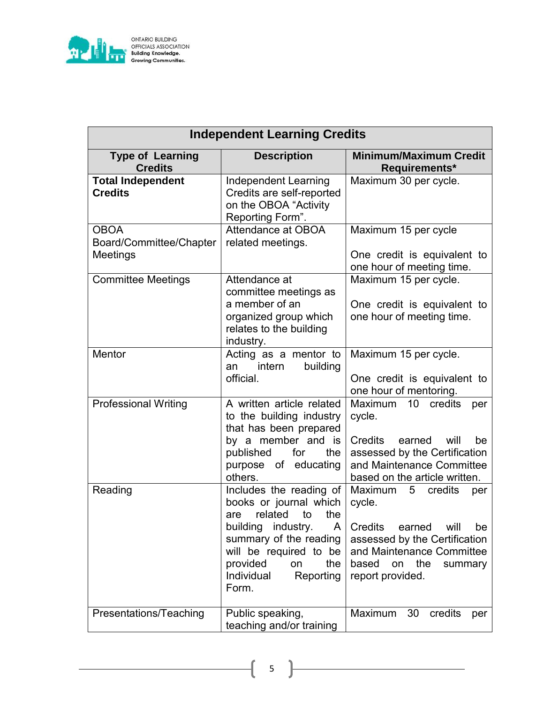

| <b>ONTARIO BUILDING</b>     |  |
|-----------------------------|--|
| OFFICIALS ASSOCIATION       |  |
| <b>Building Knowledge.</b>  |  |
| <b>Growing Communities.</b> |  |

| <b>Independent Learning Credits</b>                |                                                                                                                                                                                                                              |                                                                                                                                                                                                                           |
|----------------------------------------------------|------------------------------------------------------------------------------------------------------------------------------------------------------------------------------------------------------------------------------|---------------------------------------------------------------------------------------------------------------------------------------------------------------------------------------------------------------------------|
| <b>Type of Learning</b><br><b>Credits</b>          | <b>Description</b>                                                                                                                                                                                                           | <b>Minimum/Maximum Credit</b><br>Requirements*                                                                                                                                                                            |
| <b>Total Independent</b><br><b>Credits</b>         | <b>Independent Learning</b><br>Credits are self-reported<br>on the OBOA "Activity<br>Reporting Form".                                                                                                                        | Maximum 30 per cycle.                                                                                                                                                                                                     |
| <b>OBOA</b><br>Board/Committee/Chapter<br>Meetings | Attendance at OBOA<br>related meetings.                                                                                                                                                                                      | Maximum 15 per cycle<br>One credit is equivalent to<br>one hour of meeting time.                                                                                                                                          |
| <b>Committee Meetings</b>                          | Attendance at<br>committee meetings as<br>a member of an<br>organized group which<br>relates to the building<br>industry.                                                                                                    | Maximum 15 per cycle.<br>One credit is equivalent to<br>one hour of meeting time.                                                                                                                                         |
| Mentor                                             | Acting as a mentor to<br>intern<br>building<br>an<br>official.                                                                                                                                                               | Maximum 15 per cycle.<br>One credit is equivalent to<br>one hour of mentoring.                                                                                                                                            |
| <b>Professional Writing</b>                        | A written article related<br>to the building industry<br>that has been prepared<br>by a member and is<br>published<br>for<br>the<br>purpose of educating<br>others.                                                          | <b>Maximum</b><br>credits<br>10<br>per<br>cycle.<br><b>Credits</b><br>earned<br>will<br>be<br>assessed by the Certification<br>and Maintenance Committee<br>based on the article written.                                 |
| Reading                                            | Includes the reading of<br>books or journal which<br>related<br>to<br>the<br>are<br>building industry.<br>A<br>summary of the reading<br>will be required to be<br>provided<br>the<br>on<br>Individual<br>Reporting<br>Form. | <b>Maximum</b><br>5 <sub>5</sub><br>credits<br>per<br>cycle.<br><b>Credits</b><br>earned<br>will<br>be<br>assessed by the Certification<br>and Maintenance Committee<br>based<br>the<br>on<br>summary<br>report provided. |
| Presentations/Teaching                             | Public speaking,<br>teaching and/or training                                                                                                                                                                                 | Maximum<br>30<br>credits<br>per                                                                                                                                                                                           |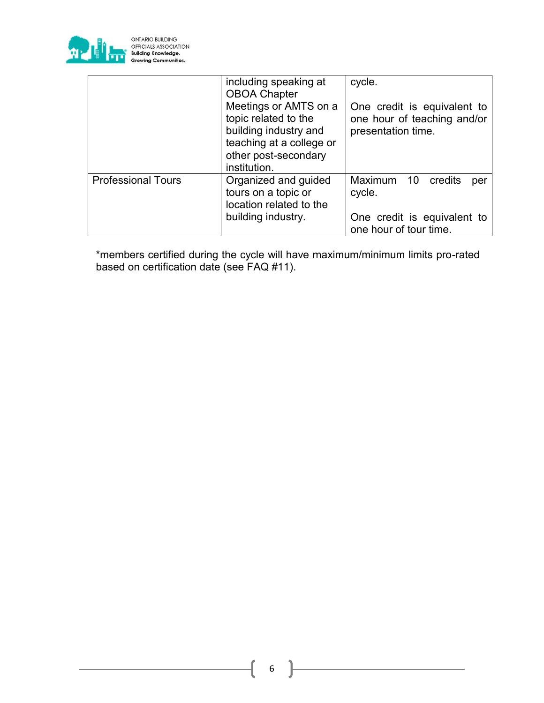

ONTARIO BUILDING<br>OFFICIALS ASSOCIATION<br>Building Knowledge.<br>Growing Communities.

|                           | including speaking at<br><b>OBOA Chapter</b>                                                                                               | cycle.                                                                           |
|---------------------------|--------------------------------------------------------------------------------------------------------------------------------------------|----------------------------------------------------------------------------------|
|                           | Meetings or AMTS on a<br>topic related to the<br>building industry and<br>teaching at a college or<br>other post-secondary<br>institution. | One credit is equivalent to<br>one hour of teaching and/or<br>presentation time. |
| <b>Professional Tours</b> | Organized and guided<br>tours on a topic or<br>location related to the<br>building industry.                                               | Maximum 10 credits<br>per<br>cycle.<br>One credit is equivalent to               |
|                           |                                                                                                                                            | one hour of tour time.                                                           |

\*members certified during the cycle will have maximum/minimum limits pro-rated based on certification date (see FAQ #11).

6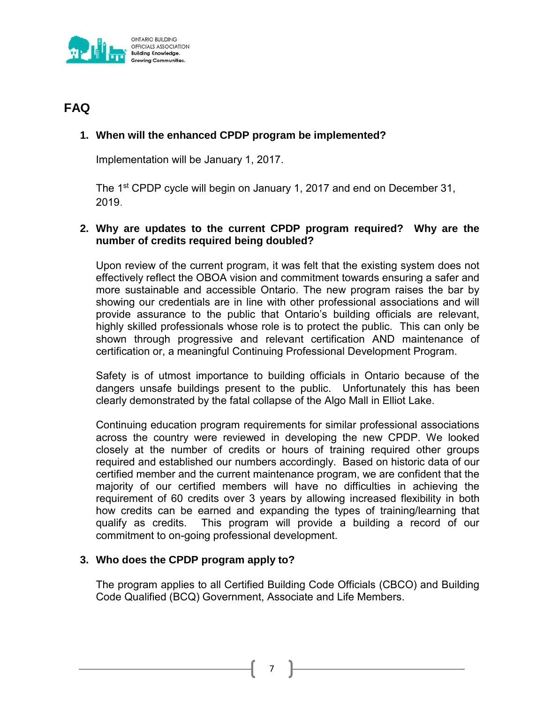

# **FAQ**

## **1. When will the enhanced CPDP program be implemented?**

Implementation will be January 1, 2017.

The 1<sup>st</sup> CPDP cycle will begin on January 1, 2017 and end on December 31, 2019.

#### **2. Why are updates to the current CPDP program required? Why are the number of credits required being doubled?**

Upon review of the current program, it was felt that the existing system does not effectively reflect the OBOA vision and commitment towards ensuring a safer and more sustainable and accessible Ontario. The new program raises the bar by showing our credentials are in line with other professional associations and will provide assurance to the public that Ontario's building officials are relevant, highly skilled professionals whose role is to protect the public. This can only be shown through progressive and relevant certification AND maintenance of certification or, a meaningful Continuing Professional Development Program.

Safety is of utmost importance to building officials in Ontario because of the dangers unsafe buildings present to the public. Unfortunately this has been clearly demonstrated by the fatal collapse of the Algo Mall in Elliot Lake.

Continuing education program requirements for similar professional associations across the country were reviewed in developing the new CPDP. We looked closely at the number of credits or hours of training required other groups required and established our numbers accordingly. Based on historic data of our certified member and the current maintenance program, we are confident that the majority of our certified members will have no difficulties in achieving the requirement of 60 credits over 3 years by allowing increased flexibility in both how credits can be earned and expanding the types of training/learning that qualify as credits. This program will provide a building a record of our commitment to on-going professional development.

#### **3. Who does the CPDP program apply to?**

The program applies to all Certified Building Code Officials (CBCO) and Building Code Qualified (BCQ) Government, Associate and Life Members.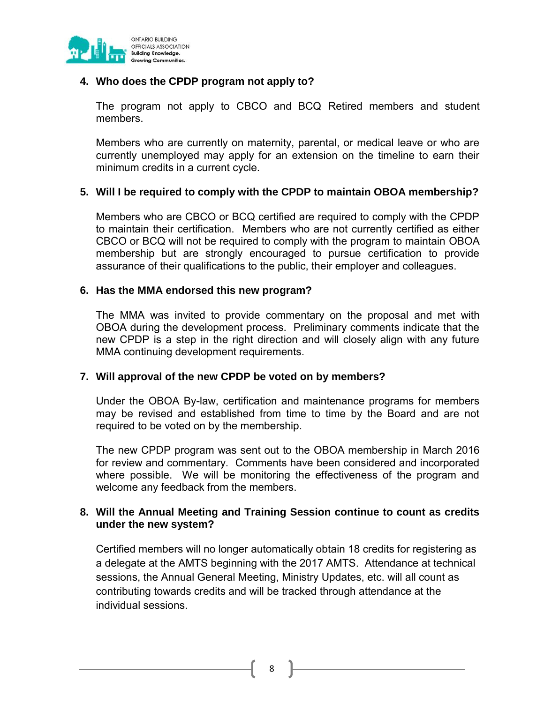

## **4. Who does the CPDP program not apply to?**

The program not apply to CBCO and BCQ Retired members and student members.

Members who are currently on maternity, parental, or medical leave or who are currently unemployed may apply for an extension on the timeline to earn their minimum credits in a current cycle.

#### **5. Will I be required to comply with the CPDP to maintain OBOA membership?**

Members who are CBCO or BCQ certified are required to comply with the CPDP to maintain their certification. Members who are not currently certified as either CBCO or BCQ will not be required to comply with the program to maintain OBOA membership but are strongly encouraged to pursue certification to provide assurance of their qualifications to the public, their employer and colleagues.

#### **6. Has the MMA endorsed this new program?**

The MMA was invited to provide commentary on the proposal and met with OBOA during the development process. Preliminary comments indicate that the new CPDP is a step in the right direction and will closely align with any future MMA continuing development requirements.

#### **7. Will approval of the new CPDP be voted on by members?**

Under the OBOA By-law, certification and maintenance programs for members may be revised and established from time to time by the Board and are not required to be voted on by the membership.

The new CPDP program was sent out to the OBOA membership in March 2016 for review and commentary. Comments have been considered and incorporated where possible. We will be monitoring the effectiveness of the program and welcome any feedback from the members.

#### **8. Will the Annual Meeting and Training Session continue to count as credits under the new system?**

Certified members will no longer automatically obtain 18 credits for registering as a delegate at the AMTS beginning with the 2017 AMTS. Attendance at technical sessions, the Annual General Meeting, Ministry Updates, etc. will all count as contributing towards credits and will be tracked through attendance at the individual sessions.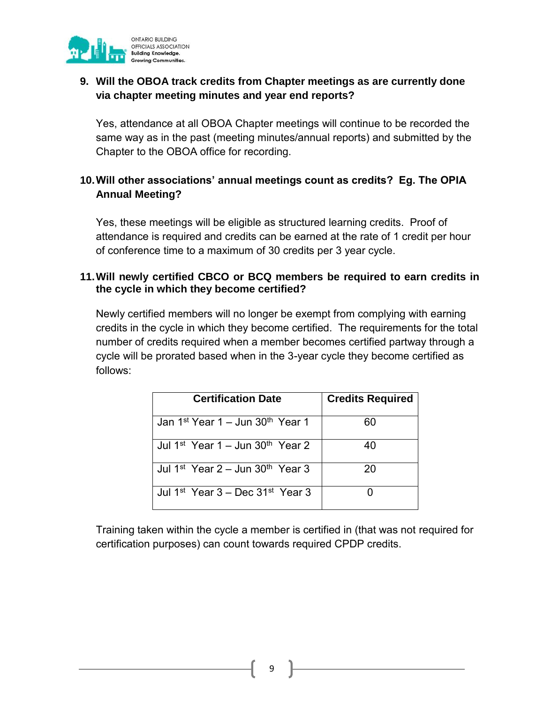

## **9. Will the OBOA track credits from Chapter meetings as are currently done via chapter meeting minutes and year end reports?**

Yes, attendance at all OBOA Chapter meetings will continue to be recorded the same way as in the past (meeting minutes/annual reports) and submitted by the Chapter to the OBOA office for recording.

## **10.Will other associations' annual meetings count as credits? Eg. The OPIA Annual Meeting?**

Yes, these meetings will be eligible as structured learning credits. Proof of attendance is required and credits can be earned at the rate of 1 credit per hour of conference time to a maximum of 30 credits per 3 year cycle.

## **11.Will newly certified CBCO or BCQ members be required to earn credits in the cycle in which they become certified?**

Newly certified members will no longer be exempt from complying with earning credits in the cycle in which they become certified. The requirements for the total number of credits required when a member becomes certified partway through a cycle will be prorated based when in the 3-year cycle they become certified as follows:

| <b>Certification Date</b>                                | <b>Credits Required</b> |
|----------------------------------------------------------|-------------------------|
| Jan 1 <sup>st</sup> Year 1 – Jun 30 <sup>th</sup> Year 1 | 60                      |
| Jul 1 <sup>st</sup> Year 1 – Jun 30 <sup>th</sup> Year 2 | 40                      |
| Jul 1 <sup>st</sup> Year 2 – Jun 30 <sup>th</sup> Year 3 | 20                      |
| Jul 1 <sup>st</sup> Year 3 – Dec 31 <sup>st</sup> Year 3 |                         |

Training taken within the cycle a member is certified in (that was not required for certification purposes) can count towards required CPDP credits.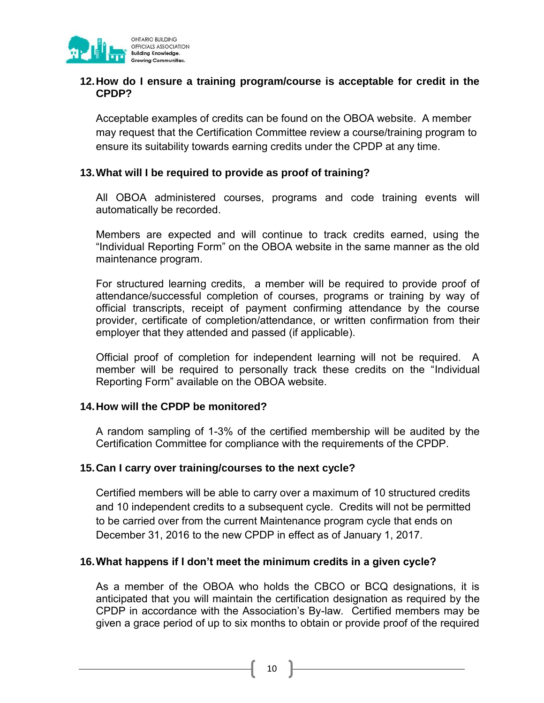

#### **12.How do I ensure a training program/course is acceptable for credit in the CPDP?**

Acceptable examples of credits can be found on the OBOA website. A member may request that the Certification Committee review a course/training program to ensure its suitability towards earning credits under the CPDP at any time.

#### **13.What will I be required to provide as proof of training?**

All OBOA administered courses, programs and code training events will automatically be recorded.

Members are expected and will continue to track credits earned, using the "Individual Reporting Form" on the OBOA website in the same manner as the old maintenance program.

For structured learning credits, a member will be required to provide proof of attendance/successful completion of courses, programs or training by way of official transcripts, receipt of payment confirming attendance by the course provider, certificate of completion/attendance, or written confirmation from their employer that they attended and passed (if applicable).

Official proof of completion for independent learning will not be required. A member will be required to personally track these credits on the "Individual Reporting Form" available on the OBOA website.

#### **14.How will the CPDP be monitored?**

A random sampling of 1-3% of the certified membership will be audited by the Certification Committee for compliance with the requirements of the CPDP.

#### **15.Can I carry over training/courses to the next cycle?**

Certified members will be able to carry over a maximum of 10 structured credits and 10 independent credits to a subsequent cycle. Credits will not be permitted to be carried over from the current Maintenance program cycle that ends on December 31, 2016 to the new CPDP in effect as of January 1, 2017.

#### **16.What happens if I don't meet the minimum credits in a given cycle?**

As a member of the OBOA who holds the CBCO or BCQ designations, it is anticipated that you will maintain the certification designation as required by the CPDP in accordance with the Association's By-law. Certified members may be given a grace period of up to six months to obtain or provide proof of the required